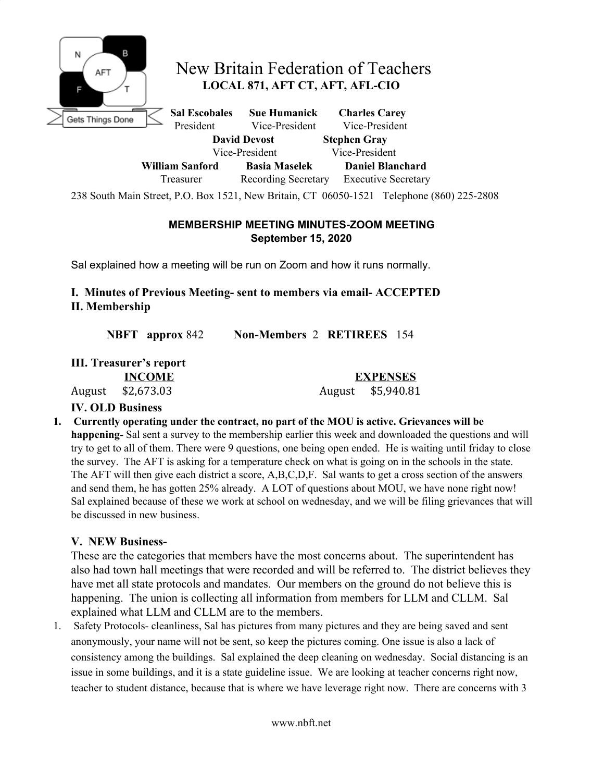

## New Britain Federation of Teachers **LOCAL 871, AFT CT, AFT, AFL-CIO**

**Sal Escobales Sue Humanick Charles Carey** President Vice-President Vice-President **David Devost Stephen Gray** Vice-President Vice-President **William Sanford Basia Maselek Daniel Blanchard** Treasurer Recording Secretary Executive Secretary

238 South Main Street, P.O. Box 1521, New Britain, CT 06050-1521 Telephone (860) 225-2808

## **MEMBERSHIP MEETING MINUTES-ZOOM MEETING September 15, 2020**

Sal explained how a meeting will be run on Zoom and how it runs normally.

**I. Minutes of Previous Meeting- sent to members via email- ACCEPTED II. Membership**

**NBFT approx** 842 **Non-Members** 2 **RETIREES** 154

| III. Treasurer's report |               |
|-------------------------|---------------|
|                         | <b>INCOME</b> |
| August                  | \$2,673.03    |

**EXPENSES** August \$5,940.81

## **IV. OLD Business**

**1. Currently operating under the contract, no part of the MOU is active. Grievances will be happening-** Sal sent a survey to the membership earlier this week and downloaded the questions and will

try to get to all of them. There were 9 questions, one being open ended. He is waiting until friday to close the survey. The AFT is asking for a temperature check on what is going on in the schools in the state. The AFT will then give each district a score, A,B,C,D,F. Sal wants to get a cross section of the answers and send them, he has gotten 25% already. A LOT of questions about MOU, we have none right now! Sal explained because of these we work at school on wednesday, and we will be filing grievances that will be discussed in new business.

## **V. NEW Business-**

These are the categories that members have the most concerns about. The superintendent has also had town hall meetings that were recorded and will be referred to. The district believes they have met all state protocols and mandates. Our members on the ground do not believe this is happening. The union is collecting all information from members for LLM and CLLM. Sal explained what LLM and CLLM are to the members.

1. Safety Protocols- cleanliness, Sal has pictures from many pictures and they are being saved and sent anonymously, your name will not be sent, so keep the pictures coming. One issue is also a lack of consistency among the buildings. Sal explained the deep cleaning on wednesday. Social distancing is an issue in some buildings, and it is a state guideline issue. We are looking at teacher concerns right now, teacher to student distance, because that is where we have leverage right now. There are concerns with 3